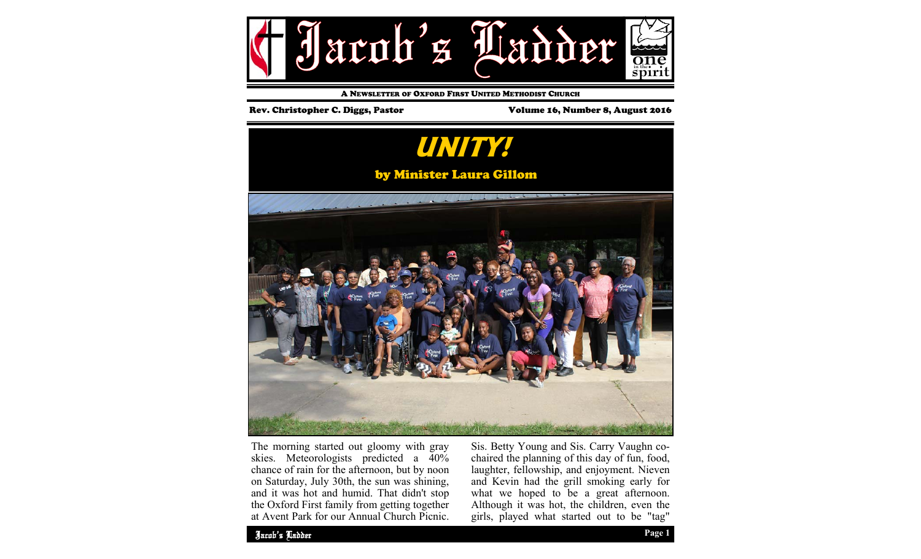

A NEWSLETTER OF OXFORD FIRST UNITED METHODIST CHURCH

## Rev. Christopher C. Diggs, Pastor Volume 16, Number 8, August 2016



The morning started out gloomy with gray skies. Meteorologists predicted a 40% chance of rain for the afternoon, but by noon on Saturday, July 30th, the sun was shining, and it was hot and humid. That didn't stop the Oxford First family from getting together at Avent Park for our Annual Church Picnic. Sis. Betty Young and Sis. Carry Vaughn cochaired the planning of this day of fun, food, laughter, fellowship, and enjoyment. Nieven and Kevin had the grill smoking early for what we hoped to be a great afternoon. Although it was hot, the children, even the girls, played what started out to be "tag"

Jacob's Ladder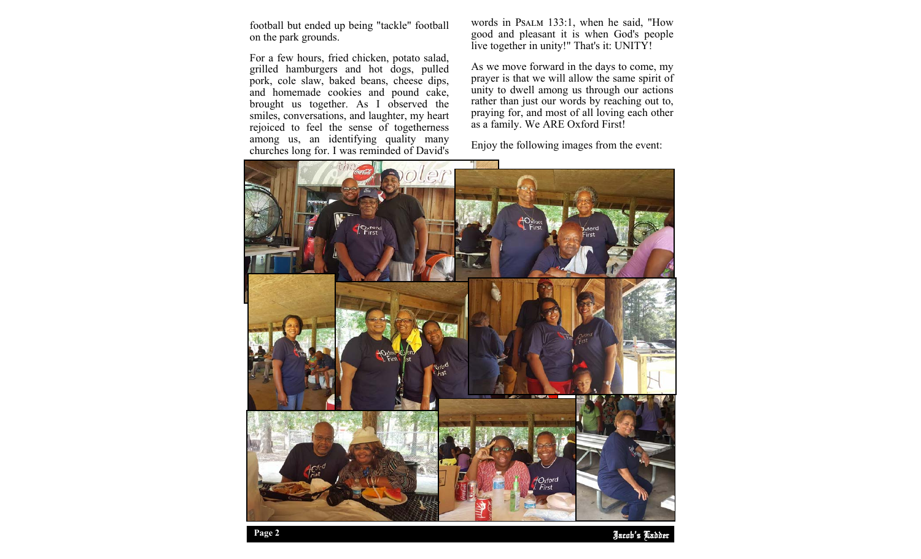football but ended up being "tackle" football on the park grounds.

For a few hours, fried chicken, potato salad, grilled hamburgers and hot dogs, pulled pork, cole slaw, baked beans, cheese dips, and homemade cookies and pound cake, brought us together. As I observed the smiles, conversations, and laughter, my heart rejoiced to feel the sense of togetherness among us, an identifying quality many churches long for. I was reminded of David's words in PSALM 133:1, when he said, "How good and pleasant it is when God's people live together in unity!" That's it: UNITY!

As we move forward in the days to come, my prayer is that we will allow the same spirit of unity to dwell among us through our actions rather than just our words by reaching out to, praying for, and most of all loving each other as a family. We ARE Oxford First!

Enjoy the following images from the event:



Jacob's Ladder **Page 2**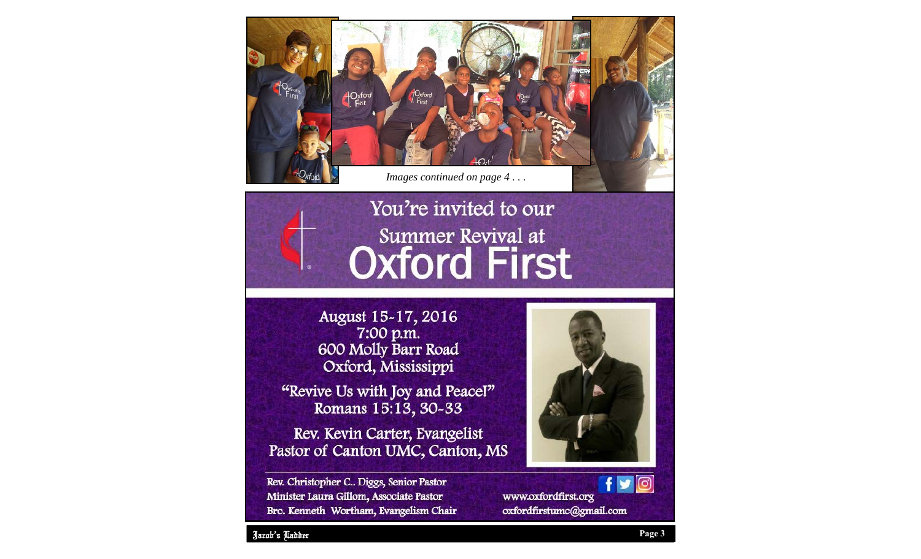

## You're invited to our **Summer Revival at Oxford First**

August 15-17, 2016 7:00 p.m. 600 Molly Barr Road Oxford, Mississippi

"Revive Us with Joy and Peacel" Romans 15:13, 30-33

Rev. Kevin Carter, Evangelist Pastor of Canton UMC, Canton, MS

Rev. Christopher C.. Diggs, Senior Pastor Minister Laura Gillom, Associate Pastor Bro. Kenneth Wortham, Evangelism Chair



www.oxfordfirst.org oxfordfirstumc@gmail.com